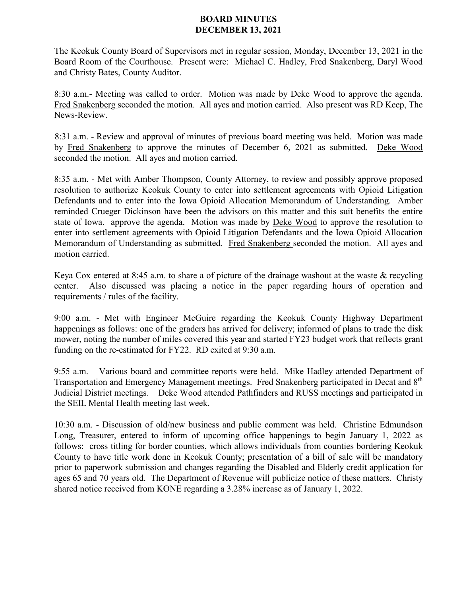## **BOARD MINUTES DECEMBER 13, 2021**

The Keokuk County Board of Supervisors met in regular session, Monday, December 13, 2021 in the Board Room of the Courthouse. Present were: Michael C. Hadley, Fred Snakenberg, Daryl Wood and Christy Bates, County Auditor.

8:30 a.m.- Meeting was called to order. Motion was made by Deke Wood to approve the agenda. Fred Snakenberg seconded the motion. All ayes and motion carried. Also present was RD Keep, The News-Review.

8:31 a.m. - Review and approval of minutes of previous board meeting was held. Motion was made by Fred Snakenberg to approve the minutes of December 6, 2021 as submitted. Deke Wood seconded the motion. All ayes and motion carried.

8:35 a.m. - Met with Amber Thompson, County Attorney, to review and possibly approve proposed resolution to authorize Keokuk County to enter into settlement agreements with Opioid Litigation Defendants and to enter into the Iowa Opioid Allocation Memorandum of Understanding. Amber reminded Crueger Dickinson have been the advisors on this matter and this suit benefits the entire state of Iowa. approve the agenda. Motion was made by Deke Wood to approve the resolution to enter into settlement agreements with Opioid Litigation Defendants and the Iowa Opioid Allocation Memorandum of Understanding as submitted. Fred Snakenberg seconded the motion. All ayes and motion carried.

Keya Cox entered at 8:45 a.m. to share a of picture of the drainage washout at the waste & recycling center. Also discussed was placing a notice in the paper regarding hours of operation and requirements / rules of the facility.

9:00 a.m. - Met with Engineer McGuire regarding the Keokuk County Highway Department happenings as follows: one of the graders has arrived for delivery; informed of plans to trade the disk mower, noting the number of miles covered this year and started FY23 budget work that reflects grant funding on the re-estimated for FY22. RD exited at 9:30 a.m.

9:55 a.m. – Various board and committee reports were held. Mike Hadley attended Department of Transportation and Emergency Management meetings. Fred Snakenberg participated in Decat and 8th Judicial District meetings. Deke Wood attended Pathfinders and RUSS meetings and participated in the SEIL Mental Health meeting last week.

10:30 a.m. - Discussion of old/new business and public comment was held. Christine Edmundson Long, Treasurer, entered to inform of upcoming office happenings to begin January 1, 2022 as follows: cross titling for border counties, which allows individuals from counties bordering Keokuk County to have title work done in Keokuk County; presentation of a bill of sale will be mandatory prior to paperwork submission and changes regarding the Disabled and Elderly credit application for ages 65 and 70 years old. The Department of Revenue will publicize notice of these matters. Christy shared notice received from KONE regarding a 3.28% increase as of January 1, 2022.